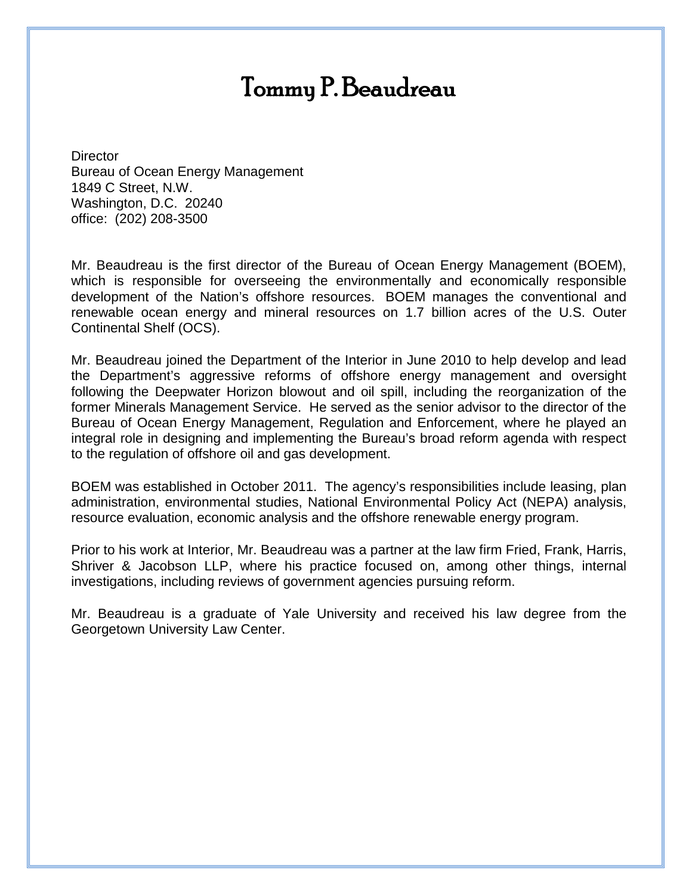## Tommy P. Beaudreau

**Director** Bureau of Ocean Energy Management 1849 C Street, N.W. Washington, D.C. 20240 office: (202) 208-3500

Mr. Beaudreau is the first director of the Bureau of Ocean Energy Management (BOEM), which is responsible for overseeing the environmentally and economically responsible development of the Nation's offshore resources. BOEM manages the conventional and renewable ocean energy and mineral resources on 1.7 billion acres of the U.S. Outer Continental Shelf (OCS).

Mr. Beaudreau joined the Department of the Interior in June 2010 to help develop and lead the Department's aggressive reforms of offshore energy management and oversight following the Deepwater Horizon blowout and oil spill, including the reorganization of the former Minerals Management Service. He served as the senior advisor to the director of the Bureau of Ocean Energy Management, Regulation and Enforcement, where he played an integral role in designing and implementing the Bureau's broad reform agenda with respect to the regulation of offshore oil and gas development.

BOEM was established in October 2011. The agency's responsibilities include leasing, plan administration, environmental studies, National Environmental Policy Act (NEPA) analysis, resource evaluation, economic analysis and the offshore renewable energy program.

Prior to his work at Interior, Mr. Beaudreau was a partner at the law firm Fried, Frank, Harris, Shriver & Jacobson LLP, where his practice focused on, among other things, internal investigations, including reviews of government agencies pursuing reform.

Mr. Beaudreau is a graduate of Yale University and received his law degree from the Georgetown University Law Center.